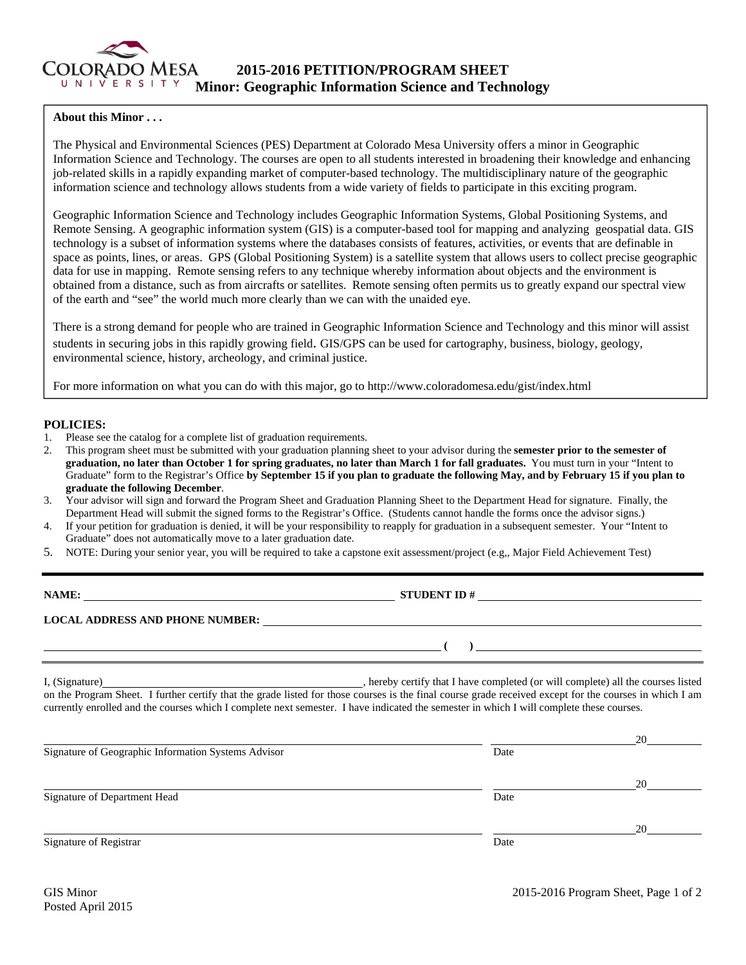

## **About this Minor . . .**

The Physical and Environmental Sciences (PES) Department at Colorado Mesa University offers a minor in Geographic Information Science and Technology. The courses are open to all students interested in broadening their knowledge and enhancing job-related skills in a rapidly expanding market of computer-based technology. The multidisciplinary nature of the geographic information science and technology allows students from a wide variety of fields to participate in this exciting program.

Geographic Information Science and Technology includes Geographic Information Systems, Global Positioning Systems, and Remote Sensing. A geographic information system (GIS) is a computer-based tool for mapping and analyzing geospatial data. GIS technology is a subset of information systems where the databases consists of features, activities, or events that are definable in space as points, lines, or areas. GPS (Global Positioning System) is a satellite system that allows users to collect precise geographic data for use in mapping. Remote sensing refers to any technique whereby information about objects and the environment is obtained from a distance, such as from aircrafts or satellites. Remote sensing often permits us to greatly expand our spectral view of the earth and "see" the world much more clearly than we can with the unaided eye.

There is a strong demand for people who are trained in Geographic Information Science and Technology and this minor will assist students in securing jobs in this rapidly growing field. GIS/GPS can be used for cartography, business, biology, geology, environmental science, history, archeology, and criminal justice.

For more information on what you can do with this major, go to http://www.coloradomesa.edu/gist/index.html

## **POLICIES:**

- 1. Please see the catalog for a complete list of graduation requirements.
- 2. This program sheet must be submitted with your graduation planning sheet to your advisor during the **semester prior to the semester of graduation, no later than October 1 for spring graduates, no later than March 1 for fall graduates.** You must turn in your "Intent to Graduate" form to the Registrar's Office **by September 15 if you plan to graduate the following May, and by February 15 if you plan to graduate the following December**.
- 3. Your advisor will sign and forward the Program Sheet and Graduation Planning Sheet to the Department Head for signature. Finally, the Department Head will submit the signed forms to the Registrar's Office. (Students cannot handle the forms once the advisor signs.)
- 4. If your petition for graduation is denied, it will be your responsibility to reapply for graduation in a subsequent semester. Your "Intent to Graduate" does not automatically move to a later graduation date.
- 5. NOTE: During your senior year, you will be required to take a capstone exit assessment/project (e.g,, Major Field Achievement Test)

**NAME: STUDENT ID #** 

## **LOCAL ADDRESS AND PHONE NUMBER:**

I, (Signature) , hereby certify that I have completed (or will complete) all the courses listed on the Program Sheet. I further certify that the grade listed for those courses is the final course grade received except for the courses in which I am currently enrolled and the courses which I complete next semester. I have indicated the semester in which I will complete these courses.

|                                                     |      | 20 |
|-----------------------------------------------------|------|----|
| Signature of Geographic Information Systems Advisor | Date |    |
|                                                     |      | 20 |
| Signature of Department Head                        | Date |    |
|                                                     |      | 20 |
| Signature of Registrar                              | Date |    |

 **( )**